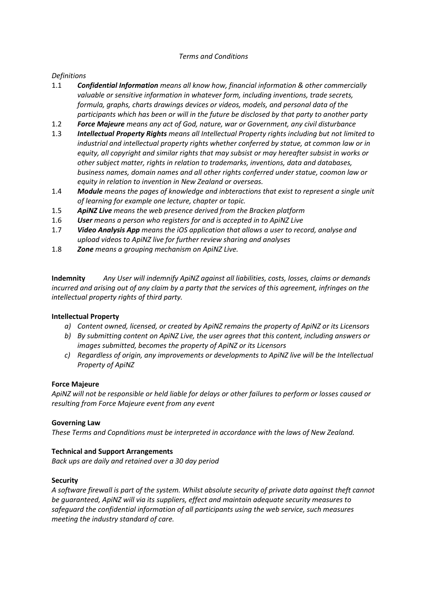# *Terms and Conditions*

# *Definitions*

- 1.1 *Confidential Information means all know how, financial information & other commercially valuable or sensitive information in whatever form, including inventions, trade secrets, formula, graphs, charts drawings devices or videos, models, and personal data of the participants which has been or will in the future be disclosed by that party to another party*
- 1.2 *Force Majeure means any act of God, nature, war or Government, any civil disturbance*
- 1.3 *Intellectual Property Rights means all Intellectual Property rights including but not limited to industrial and intellectual property rights whether conferred by statue, at common law or in equity, all copyright and similar rights that may subsist or may hereafter subsist in works or other subject matter, rights in relation to trademarks, inventions, data and databases, business names, domain names and all other rights conferred under statue, coomon law or equity in relation to invention in New Zealand or overseas.*
- 1.4 *Module means the pages of knowledge and inbteractions that exist to represent a single unit of learning for example one lecture, chapter or topic.*
- 1.5 *ApiNZ Live means the web presence derived from the Bracken platform*
- 1.6 *User means a person who registers for and is accepted in to ApiNZ Live*
- 1.7 *Video Analysis App means the iOS application that allows a user to record, analyse and upload videos to ApiNZ live for further review sharing and analyses*
- 1.8 *Zone means a grouping mechanism on ApiNZ Live.*

**Indemnity** *Any User will indemnify ApiNZ against all liabilities, costs, losses, claims or demands incurred and arising out of any claim by a party that the services of this agreement, infringes on the intellectual property rights of third party.*

### **Intellectual Property**

- *a) Content owned, licensed, or created by ApiNZ remains the property of ApiNZ or its Licensors*
- *b) By submitting content on ApiNZ Live, the user agrees that this content, including answers or images submitted, becomes the property of ApiNZ or its Licensors*
- *c) Regardless of origin, any improvements or developments to ApiNZ live will be the Intellectual Property of ApiNZ*

### **Force Majeure**

*ApiNZ will not be responsible or held liable for delays or other failures to perform or losses caused or resulting from Force Majeure event from any event* 

### **Governing Law**

*These Terms and Copnditions must be interpreted in accordance with the laws of New Zealand.* 

# **Technical and Support Arrangements**

*Back ups are daily and retained over a 30 day period*

### **Security**

*A software firewall is part of the system. Whilst absolute security of private data against theft cannot be guaranteed, ApiNZ will via its suppliers, effect and maintain adequate security measures to safeguard the confidential information of all participants using the web service, such measures meeting the industry standard of care.*